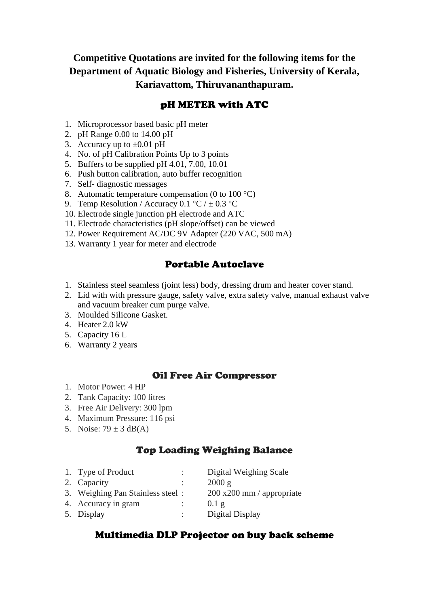**Competitive Quotations are invited for the following items for the Department of Aquatic Biology and Fisheries, University of Kerala, Kariavattom, Thiruvananthapuram.**

## pH METER with ATC

- 1. Microprocessor based basic pH meter
- 2. pH Range 0.00 to 14.00 pH
- 3. Accuracy up to  $\pm 0.01$  pH
- 4. No. of pH Calibration Points Up to 3 points
- 5. Buffers to be supplied pH 4.01, 7.00, 10.01
- 6. Push button calibration, auto buffer recognition
- 7. Self- diagnostic messages
- 8. Automatic temperature compensation (0 to 100 °C)
- 9. Temp Resolution / Accuracy 0.1 °C /  $\pm$  0.3 °C
- 10. Electrode single junction pH electrode and ATC
- 11. Electrode characteristics (pH slope/offset) can be viewed
- 12. Power Requirement AC/DC 9V Adapter (220 VAC, 500 mA)
- 13. Warranty 1 year for meter and electrode

## Portable Autoclave

- 1. Stainless steel seamless (joint less) body, dressing drum and heater cover stand.
- 2. Lid with with pressure gauge, safety valve, extra safety valve, manual exhaust valve and vacuum breaker cum purge valve.
- 3. Moulded Silicone Gasket.
- 4. Heater 2.0 kW
- 5. Capacity 16 L
- 6. Warranty 2 years

## Oil Free Air Compressor

- 1. Motor Power: 4 HP
- 2. Tank Capacity: 100 litres
- 3. Free Air Delivery: 300 lpm
- 4. Maximum Pressure: 116 psi
- 5. Noise:  $79 \pm 3$  dB(A)

# Top Loading Weighing Balance

1. Type of Product : Digital Weighing Scale 2. Capacity : 2000 g 3. Weighing Pan Stainless steel : 200 x200 mm / appropriate 4. Accuracy in gram : 0.1 g 5. Display : Digital Display

## Multimedia DLP Projector on buy back scheme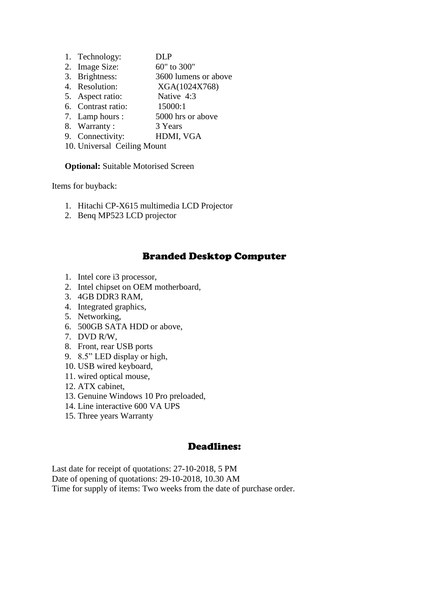- 1. Technology: DLP
- 2. Image Size: 60" to 300"<br>3. Brightness: 3600 lumen
- 3600 lumens or above
- 4. Resolution: XGA(1024X768)
- 5. Aspect ratio: Native 4:3
- 6. Contrast ratio: 15000:1
- 7. Lamp hours : 5000 hrs or above
- 8. Warranty : 3 Years
- 9. Connectivity: HDMI, VGA
- 10. Universal Ceiling Mount

**Optional:** Suitable Motorised Screen

Items for buyback:

- 1. Hitachi CP-X615 multimedia LCD Projector
- 2. Benq MP523 LCD projector

#### Branded Desktop Computer

- 1. Intel core i3 processor,
- 2. Intel chipset on OEM motherboard,
- 3. 4GB DDR3 RAM,
- 4. Integrated graphics,
- 5. Networking,
- 6. 500GB SATA HDD or above,
- 7. DVD R/W,
- 8. Front, rear USB ports
- 9. 8.5" LED display or high,
- 10. USB wired keyboard,
- 11. wired optical mouse,
- 12. ATX cabinet,
- 13. Genuine Windows 10 Pro preloaded,
- 14. Line interactive 600 VA UPS
- 15. Three years Warranty

#### Deadlines:

Last date for receipt of quotations: 27-10-2018, 5 PM Date of opening of quotations: 29-10-2018, 10.30 AM Time for supply of items: Two weeks from the date of purchase order.